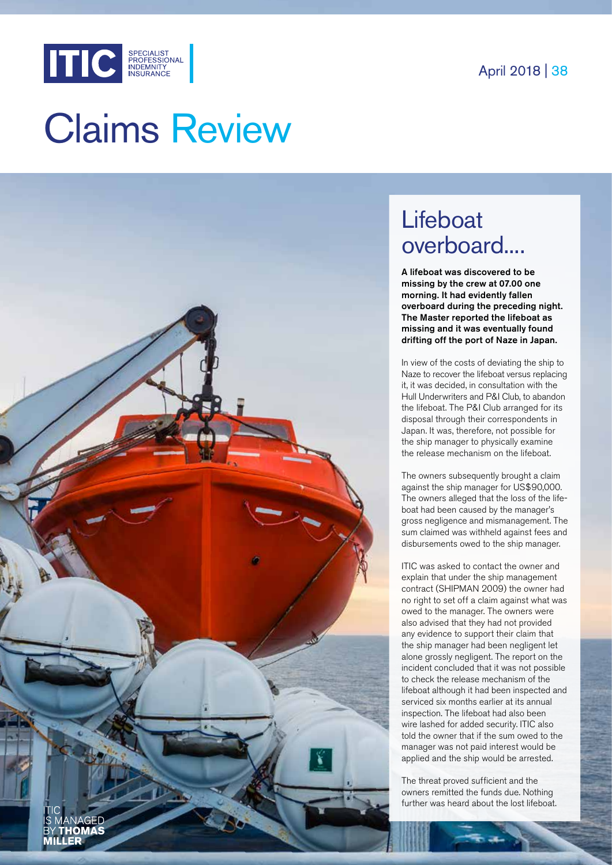

# Claims Review



## **Lifeboat** overboard....

A lifeboat was discovered to be missing by the crew at 07.00 one morning. It had evidently fallen overboard during the preceding night. The Master reported the lifeboat as missing and it was eventually found drifting off the port of Naze in Japan.

In view of the costs of deviating the ship to Naze to recover the lifeboat versus replacing it, it was decided, in consultation with the Hull Underwriters and P&I Club, to abandon the lifeboat. The P&I Club arranged for its disposal through their correspondents in Japan. It was, therefore, not possible for the ship manager to physically examine the release mechanism on the lifeboat.

The owners subsequently brought a claim against the ship manager for US\$90,000. The owners alleged that the loss of the lifeboat had been caused by the manager's gross negligence and mismanagement. The sum claimed was withheld against fees and disbursements owed to the ship manager.

ITIC was asked to contact the owner and explain that under the ship management contract (SHIPMAN 2009) the owner had no right to set off a claim against what was owed to the manager. The owners were also advised that they had not provided any evidence to support their claim that the ship manager had been negligent let alone grossly negligent. The report on the incident concluded that it was not possible to check the release mechanism of the lifeboat although it had been inspected and serviced six months earlier at its annual inspection. The lifeboat had also been wire lashed for added security. ITIC also told the owner that if the sum owed to the manager was not paid interest would be applied and the ship would be arrested.

The threat proved sufficient and the owners remitted the funds due. Nothing further was heard about the lost lifeboat.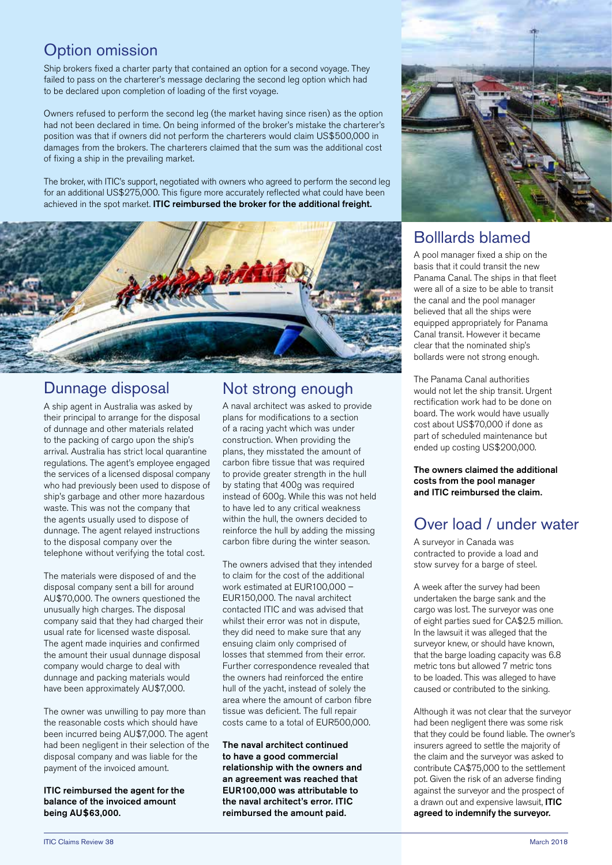#### Option omission

Ship brokers fixed a charter party that contained an option for a second voyage. They failed to pass on the charterer's message declaring the second leg option which had to be declared upon completion of loading of the first voyage.

Owners refused to perform the second leg (the market having since risen) as the option had not been declared in time. On being informed of the broker's mistake the charterer's position was that if owners did not perform the charterers would claim US\$500,000 in damages from the brokers. The charterers claimed that the sum was the additional cost of fixing a ship in the prevailing market.

The broker, with ITIC's support, negotiated with owners who agreed to perform the second leg for an additional US\$275,000. This figure more accurately reflected what could have been achieved in the spot market. ITIC reimbursed the broker for the additional freight.



#### Dunnage disposal

A ship agent in Australia was asked by their principal to arrange for the disposal of dunnage and other materials related to the packing of cargo upon the ship's arrival. Australia has strict local quarantine regulations. The agent's employee engaged the services of a licensed disposal company who had previously been used to dispose of ship's garbage and other more hazardous waste. This was not the company that the agents usually used to dispose of dunnage. The agent relayed instructions to the disposal company over the telephone without verifying the total cost.

The materials were disposed of and the disposal company sent a bill for around AU\$70,000. The owners questioned the unusually high charges. The disposal company said that they had charged their usual rate for licensed waste disposal. The agent made inquiries and confirmed the amount their usual dunnage disposal company would charge to deal with dunnage and packing materials would have been approximately AU\$7,000.

The owner was unwilling to pay more than the reasonable costs which should have been incurred being AU\$7,000. The agent had been negligent in their selection of the disposal company and was liable for the payment of the invoiced amount.

ITIC reimbursed the agent for the balance of the invoiced amount being AU\$63,000.

#### Not strong enough

A naval architect was asked to provide plans for modifications to a section of a racing yacht which was under construction. When providing the plans, they misstated the amount of carbon fibre tissue that was required to provide greater strength in the hull by stating that 400g was required instead of 600g. While this was not held to have led to any critical weakness within the hull, the owners decided to reinforce the hull by adding the missing carbon fibre during the winter season.

The owners advised that they intended to claim for the cost of the additional work estimated at EUR100,000 -EUR150,000. The naval architect contacted ITIC and was advised that whilst their error was not in dispute, they did need to make sure that any ensuing claim only comprised of losses that stemmed from their error. Further correspondence revealed that the owners had reinforced the entire hull of the yacht, instead of solely the area where the amount of carbon fibre tissue was deficient. The full repair costs came to a total of EUR500,000.

The naval architect continued to have a good commercial relationship with the owners and an agreement was reached that EUR100,000 was attributable to the naval architect's error. ITIC reimbursed the amount paid.



#### Bolllards blamed

A pool manager fixed a ship on the basis that it could transit the new Panama Canal. The ships in that fleet were all of a size to be able to transit the canal and the pool manager believed that all the ships were equipped appropriately for Panama Canal transit. However it became clear that the nominated ship's bollards were not strong enough.

The Panama Canal authorities would not let the ship transit. Urgent rectification work had to be done on board. The work would have usually cost about US\$70,000 if done as part of scheduled maintenance but ended up costing US\$200,000.

The owners claimed the additional costs from the pool manager and ITIC reimbursed the claim.

### Over load / under water

A surveyor in Canada was contracted to provide a load and stow survey for a barge of steel.

A week after the survey had been undertaken the barge sank and the cargo was lost. The surveyor was one of eight parties sued for CA\$2.5 million. In the lawsuit it was alleged that the surveyor knew, or should have known, that the barge loading capacity was 6.8 metric tons but allowed 7 metric tons to be loaded. This was alleged to have caused or contributed to the sinking.

Although it was not clear that the surveyor had been negligent there was some risk that they could be found liable. The owner's insurers agreed to settle the majority of the claim and the surveyor was asked to contribute CA\$75,000 to the settlement pot. Given the risk of an adverse finding against the surveyor and the prospect of a drawn out and expensive lawsuit, ITIC agreed to indemnify the surveyor.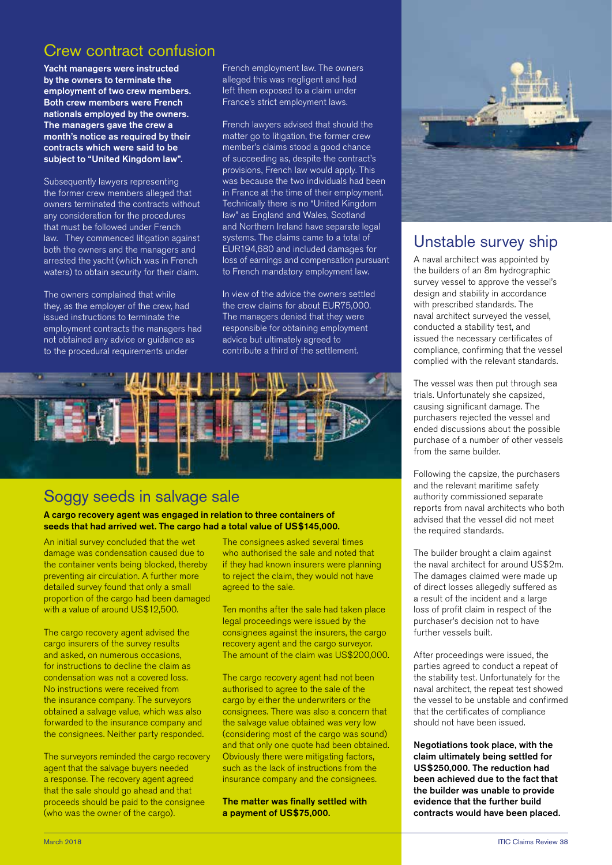#### Crew contract confusion

Yacht managers were instructed by the owners to terminate the employment of two crew members. Both crew members were French nationals employed by the owners. The managers gave the crew a month's notice as required by their contracts which were said to be subject to "United Kingdom law".

Subsequently lawyers representing the former crew members alleged that owners terminated the contracts without any consideration for the procedures that must be followed under French law. They commenced litigation against both the owners and the managers and arrested the yacht (which was in French waters) to obtain security for their claim.

The owners complained that while they, as the employer of the crew, had issued instructions to terminate the employment contracts the managers had not obtained any advice or guidance as to the procedural requirements under

French employment law. The owners alleged this was negligent and had left them exposed to a claim under France's strict employment laws.

French lawyers advised that should the matter go to litigation, the former crew member's claims stood a good chance of succeeding as, despite the contract's provisions, French law would apply. This was because the two individuals had been in France at the time of their employment. Technically there is no "United Kingdom law" as England and Wales, Scotland and Northern Ireland have separate legal systems. The claims came to a total of EUR194,680 and included damages for loss of earnings and compensation pursuant to French mandatory employment law.

In view of the advice the owners settled the crew claims for about EUR75,000. The managers denied that they were responsible for obtaining employment advice but ultimately agreed to contribute a third of the settlement.



#### Soggy seeds in salvage sale

A cargo recovery agent was engaged in relation to three containers of seeds that had arrived wet. The cargo had a total value of US\$145,000.

An initial survey concluded that the wet damage was condensation caused due to the container vents being blocked, thereby preventing air circulation. A further more detailed survey found that only a small proportion of the cargo had been damaged with a value of around US\$12,500.

The cargo recovery agent advised the cargo insurers of the survey results and asked, on numerous occasions, for instructions to decline the claim as condensation was not a covered loss. No instructions were received from the insurance company. The surveyors obtained a salvage value, which was also forwarded to the insurance company and the consignees. Neither party responded.

The surveyors reminded the cargo recovery agent that the salvage buyers needed a response. The recovery agent agreed that the sale should go ahead and that proceeds should be paid to the consignee (who was the owner of the cargo).

The consignees asked several times who authorised the sale and noted that if they had known insurers were planning to reject the claim, they would not have agreed to the sale.

Ten months after the sale had taken place legal proceedings were issued by the consignees against the insurers, the cargo recovery agent and the cargo surveyor. The amount of the claim was US\$200,000.

The cargo recovery agent had not been authorised to agree to the sale of the cargo by either the underwriters or the consignees. There was also a concern that the salvage value obtained was very low (considering most of the cargo was sound) and that only one quote had been obtained. Obviously there were mitigating factors, such as the lack of instructions from the insurance company and the consignees.

The matter was finally settled with a payment of US\$75,000.



#### Unstable survey ship

A naval architect was appointed by the builders of an 8m hydrographic survey vessel to approve the vessel's design and stability in accordance with prescribed standards. The naval architect surveyed the vessel, conducted a stability test, and issued the necessary certificates of compliance, confirming that the vessel complied with the relevant standards.

The vessel was then put through sea trials. Unfortunately she capsized, causing significant damage. The purchasers rejected the vessel and ended discussions about the possible purchase of a number of other vessels from the same builder.

Following the capsize, the purchasers and the relevant maritime safety authority commissioned separate reports from naval architects who both advised that the vessel did not meet the required standards.

The builder brought a claim against the naval architect for around US\$2m. The damages claimed were made up of direct losses allegedly suffered as a result of the incident and a large loss of profit claim in respect of the purchaser's decision not to have further vessels built.

After proceedings were issued, the parties agreed to conduct a repeat of the stability test. Unfortunately for the naval architect, the repeat test showed the vessel to be unstable and confirmed that the certificates of compliance should not have been issued.

Negotiations took place, with the claim ultimately being settled for US\$250,000. The reduction had been achieved due to the fact that the builder was unable to provide evidence that the further build contracts would have been placed.